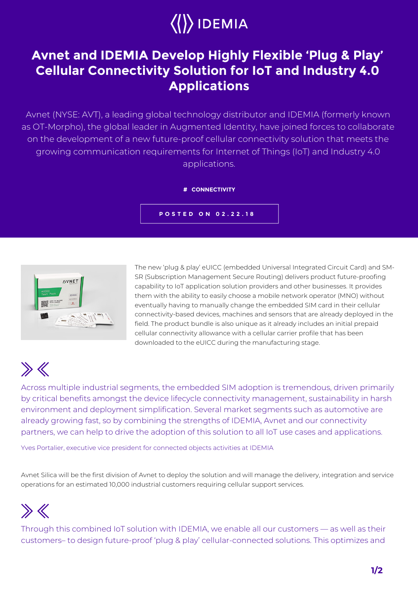# $\langle\langle\rangle\rangle$ IDEMIA

### **Avnet and IDEMIA Develop Highly Flexible 'Plug & Play' Cellular Connectivity Solution for IoT and Industry 4.0 Applications**

Avnet (NYSE: AVT), a leading global technology distributor and IDEMIA (formerly known as OT-Morpho), the global leader in Augmented Identity, have joined forces to collaborate on the development of a new future-proof cellular connectivity solution that meets the growing communication requirements for Internet of Things (IoT) and Industry 4.0 applications.

#### **# CONNECTIVITY**

**POSTED ON 02.22.18**



The new 'plug & play' eUICC (embedded Universal Integrated Circuit Card) and SM-SR (Subscription Management Secure Routing) delivers product future-proofing capability to IoT application solution providers and other businesses. It provides them with the ability to easily choose a mobile network operator (MNO) without eventually having to manually change the embedded SIM card in their cellular connectivity-based devices, machines and sensors that are already deployed in the field. The product bundle is also unique as it already includes an initial prepaid cellular connectivity allowance with a cellular carrier profile that has been downloaded to the eUICC during the manufacturing stage.

## $\gg K$

Across multiple industrial segments, the embedded SIM adoption is tremendous, driven primarily by critical benefits amongst the device lifecycle connectivity management, sustainability in harsh environment and deployment simplification. Several market segments such as automotive are already growing fast, so by combining the strengths of IDEMIA, Avnet and our connectivity partners, we can help to drive the adoption of this solution to all IoT use cases and applications.

Yves Portalier, executive vice president for connected objects activities at IDEMIA

Avnet Silica will be the first division of Avnet to deploy the solution and will manage the delivery, integration and service operations for an estimated 10,000 industrial customers requiring cellular support services.

## $\gg K$

Through this combined IoT solution with IDEMIA, we enable all our customers — as well as their customers– to design future-proof 'plug & play' cellular-connected solutions. This optimizes and